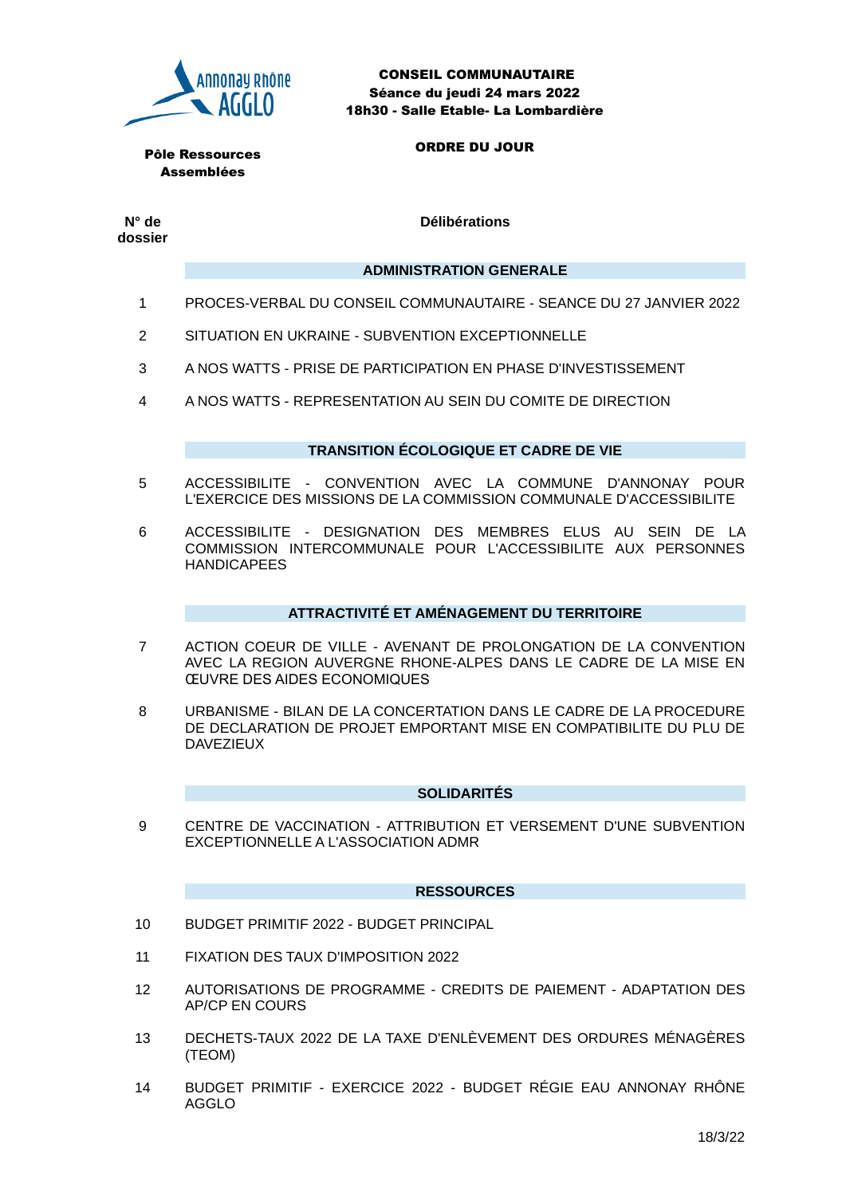

CONSEIL COMMUNAUTAIRE Séance du jeudi 24 mars 2022 18h30 - Salle Etable- La Lombardière

Pôle Ressources Assemblées

ORDRE DU JOUR

**N° de dossier** **Délibérations**

#### **ADMINISTRATION GENERALE**

- 1 PROCES-VERBAL DU CONSEIL COMMUNAUTAIRE SEANCE DU 27 JANVIER 2022
- 2 SITUATION EN UKRAINE SUBVENTION EXCEPTIONNELLE
- 3 A NOS WATTS PRISE DE PARTICIPATION EN PHASE D'INVESTISSEMENT
- 4 A NOS WATTS REPRESENTATION AU SEIN DU COMITE DE DIRECTION

# **TRANSITION ÉCOLOGIQUE ET CADRE DE VIE**

- 5 ACCESSIBILITE CONVENTION AVEC LA COMMUNE D'ANNONAY POUR L'EXERCICE DES MISSIONS DE LA COMMISSION COMMUNALE D'ACCESSIBILITE
- 6 ACCESSIBILITE DESIGNATION DES MEMBRES ELUS AU SEIN DE LA COMMISSION INTERCOMMUNALE POUR L'ACCESSIBILITE AUX PERSONNES HANDICAPEES

# **ATTRACTIVITÉ ET AMÉNAGEMENT DU TERRITOIRE**

- 7 ACTION COEUR DE VILLE AVENANT DE PROLONGATION DE LA CONVENTION AVEC LA REGION AUVERGNE RHONE-ALPES DANS LE CADRE DE LA MISE EN ŒUVRE DES AIDES ECONOMIQUES
- 8 URBANISME BILAN DE LA CONCERTATION DANS LE CADRE DE LA PROCEDURE DE DECLARATION DE PROJET EMPORTANT MISE EN COMPATIBILITE DU PLU DE DAVEZIEUX

# **SOLIDARITÉS**

9 CENTRE DE VACCINATION - ATTRIBUTION ET VERSEMENT D'UNE SUBVENTION EXCEPTIONNELLE A L'ASSOCIATION ADMR

# **RESSOURCES**

- 10 BUDGET PRIMITIF 2022 BUDGET PRINCIPAL
- 11 FIXATION DES TAUX D'IMPOSITION 2022
- 12 AUTORISATIONS DE PROGRAMME CREDITS DE PAIEMENT ADAPTATION DES AP/CP EN COURS
- 13 DECHETS-TAUX 2022 DE LA TAXE D'ENLÈVEMENT DES ORDURES MÉNAGÈRES (TEOM)
- 14 BUDGET PRIMITIF EXERCICE 2022 BUDGET RÉGIE EAU ANNONAY RHÔNE AGGLO